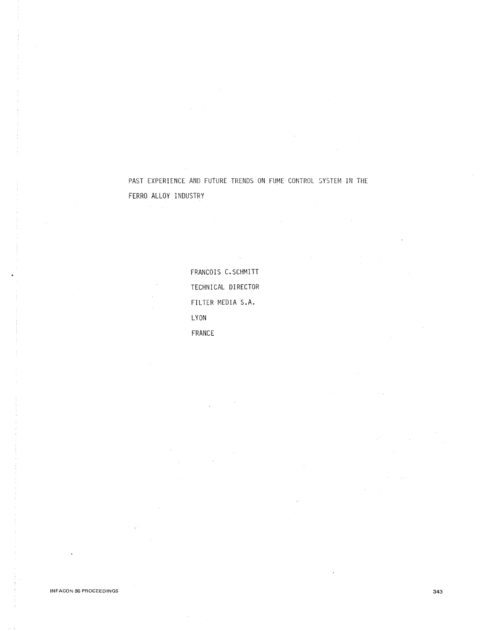PAST EXPERIENCE AND FUTURE TRENDS ON FUME CONTROL SYSTEM IN THE FERRO ALLOY INDUSTRY

> FRANCOIS C.SCHMITT TECHNICAL DIRECTOR FILTER MEDIA S.A. LYON FRANCE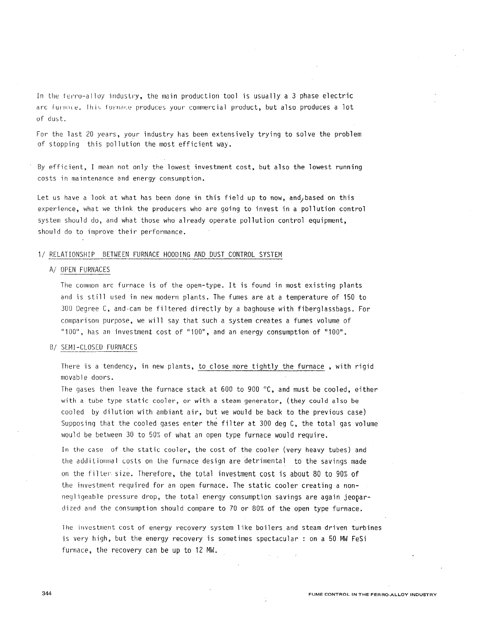In the ferro-alloy industry, the main production tool is usually a 3 phase electric arc furnace. This furnace produces your commercial product, but also produces a lot of dust.

For the last 20 years, your industry has been extensively trying to solve the problem of stopping this pollution the most efficient way.

By efficient, I mean not only the lowest investment cost, but also the lowest running costs ih maintenance and energy consumption.

Let us have a look at what has been done in this field up to now, and, based on this experience, what we think the producers who are going to invest in a pollution control system should do, and what those who already operate pollution control equipment, should do to improve their performance.

# 1/ RELATIONSHIP BETWEEN FURNACE HOODING AND DUST CONTROL SYSTEM

#### A/ OPEN FURNACES

The common arc furnace is of the open-type. It is found in most existing plants and is still used in new modern plants. The fumes are at a temperature of 150 to 300 Degree C, and-can be filtered directly by a baghouse with fiberglassbags. For comparison purpose, we will say that such a system creates a fumes volume of "100", has an investment cost of "100", and an energy consumption of "100".

#### B/ SEMI-CLOSED FURNACES

There is a tendency, in new plants, to close more tightly the furnace , with rigid movable doors.

The gases then leave the furnace stack at 600 to 900  $\degree$ C, and must be cooled, either with a tube type static cooler, or with a steam generator, (they could also be cooled by dilution with ambiant air, but we would be back to the previous case) Supposing that the cooled gases enter the filter at 300 deg C, the total gas volume would be between 30 to 50% of what an open type furnace would require.

In the case of the static cooler, the cost of the cooler (very heavy tubes) and the additionnal costs on the furnace design are detrimental to the savings made on the Filter. size. Therefore, the total investment cost is about 80 to 90% of the investment required for an open furnace. The static cooler creating a nonnegl igeable pressure drop, the total energy consumption savings are again jeopardized and the consumption should compare to 70 or 80% of the open type furnace.

1he investment cost of energy recovery system like boilers and steam driven turbines is very high, but the energy recovery is sometimes spectacular : on a 50 MW FeSi furnace, the recovery can be up to 12 MW.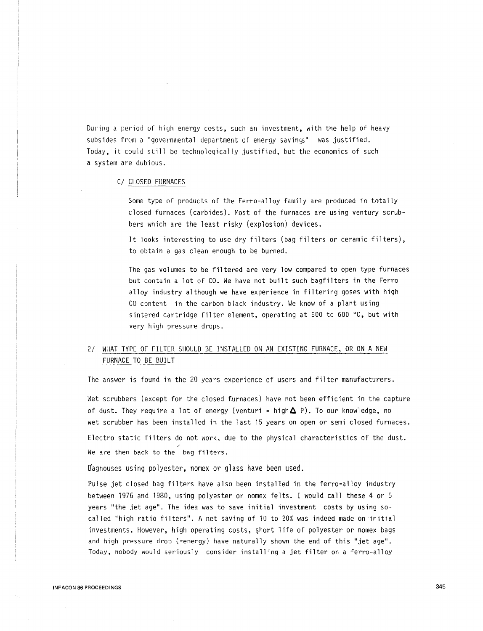During a period of high energy costs, such an investment, with the help of heavy subsides from a "governmental department of energy savings" was justified. Today, it could still be technologically justified, but the economics of such a system are dubious.

# C/ CLOSED FURNACES

Some type of products of the Ferro-alloy family are produced in totally closed furnaces (carbides). Most of the furnaces are using ventury scrubbers which are the least risky (explosion) devices.

It looks interesting to use dry filters (bag filters or ceramic filters), to obtain a gas clean enough to be burned.

The gas volumes to be filtered are very low compared to open type furnaces but contuin a lot of CO. We have not built such bagfilters in the Ferro alloy industry although we have experience in filtering goses with high CO content in the carbon black industry. We know of a plant using sintered cartridge filter element, operating at 500 to 600  $\degree$ C, but with very high pressure drops.

# 2/ WHAT TYPE OF FILTER SHOULD BE INSTALLED ON AN EXISTING FURNACE, OR ON A NEW FURNACE TO BE BUILT

The answer is found in the 20 years experience of users and filter manufacturers.

Wet scrubbers (except for the closed furnaces) have not been efficient in the capture of dust. They require a lot of energy (venturi = high $\Delta$  P). To our knowledge, no wet scrubber has been installed in the last 15 years on open or semi closed furnaces. Electro static filters do not work, due to the physical characteristics of the dust. We are then back to the bag filters.

Baghouses using polyester, nomex or glass have been used.

Pulse jet closed bag filters have also been installed in the ferro-alloy industry between 1976 and 1980, using polyester or nomex felts. I would call these 4 or 5 years ''the jet age". The idea was to save initial investment costs by using socalled "high ratio filters". A net saving of 10 to 20% was indeed made on initial investments. However, high operating costs, short life of polyester or nomex bags and high pressure drop (=energy) have naturally shown the end of this "jet age". Today, nobody would seriously consider installing a jet filter on a ferro-alloy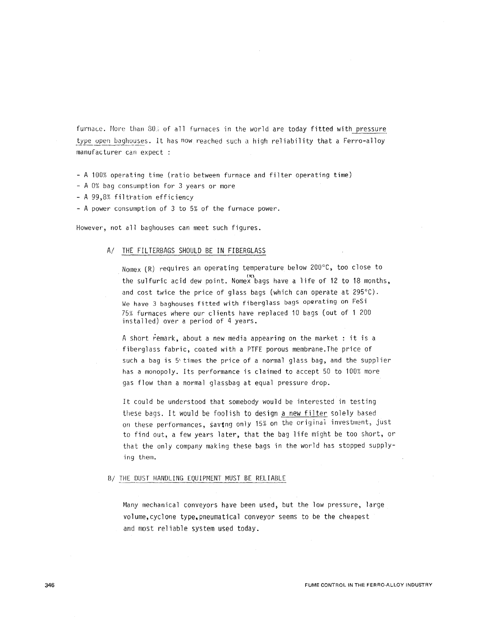furnace. More than 80. of all furnaces in the world are today fitted with pressure type open baghouses. It has now reached such a high reliability that a Ferro-alloy manufacturer can expect

- A 100% operating time (ratio between furnace and filter operating time)
- A 0% bag consumption for 3 years or more
- A 99,8% filtration efficiency
- A power consumption of 3 to 5% of the furnace power.

However, not all baghouses can meet such figures.

## A/ THE FILTERBAGS SHOULD BE IN FIBERGLASS

Nomex (R) requires an operating temperature below 200°C, too close to the sulfuric acid dew point. Nomex bags have a life of 12 to 18 months, and cost twice the price of glass bags (which can operate at 295°C). We have 3 baghouses fitted with fiberglass bags operating on FeSi 75% furnaces where our clients have replaced 10 bags (out of 1 200 installed) over a period of 4 years.

A short remark, about a new media appearing on the market : it is a fiberglass fabric, coated with a PTFE porous membrane.The price of such a bag is 5<sup>times</sup> the price of a normal glass bag, and the supplier has a monopoly. Its performance is claimed to accept 50 to 100% more gas flow than a normal glassbag at equal pressure drop.

It could be understood that somebody would be interested in testing these bags. It would be foolish to design a new filter solely based on these performances, savtng only 15% on the original investment, just to find out, a few years later, that the bag life might be too short, or that the only company making these bags in the world has stopped supplying them.

#### B/ THE DUST HANDLING EQUIPMENT MUST BE RELIABLE

Many mechanical conveyors have been used, but the low pressure, large volume,cyclone type,pneumatical conveyor seems to be the cheapest and most reliable system used today.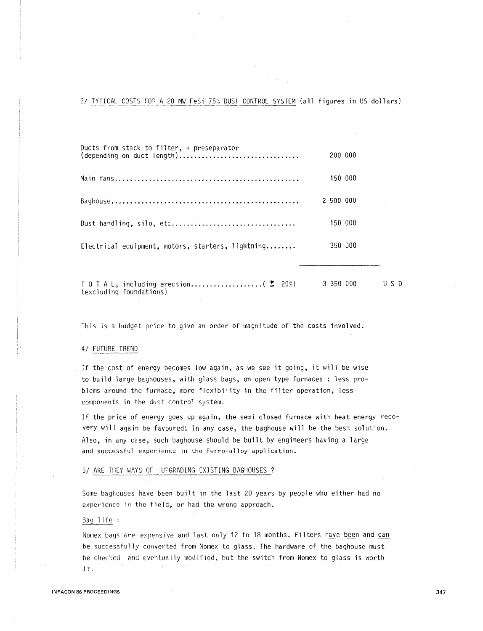3/ TYPICAL COSTS FOR A 20 MW FeSi 75% DUST CONTROL SYSTEM (all figures in US dollars)

| Ducts from stack to filter, + preseparator<br>(depending on duct length) | 200 000   |  |
|--------------------------------------------------------------------------|-----------|--|
|                                                                          | 150 000   |  |
|                                                                          | 2 500 000 |  |
| Dust handling, silo, etc                                                 | 150 000   |  |
| Electrical equipment, motors, starters, lightning                        | 350 000   |  |
|                                                                          |           |  |

T 0 T A L, including erection........................... ( $\pm$  20%) 3 350 000 (excluding foundations) U S D

This is a budget price to give an order of magnitude of the costs involved.

## 4/ FUTURE TREND

If the cost of energy becomes low again, as we see it going, it will be wise to build large baghouses, with glass bags, on open type furnaces : less problems around the furnace, more flexibility in the filter operation, less components in the dust control system.

If the price of energy goes up again, the semi closed furnace with heat energy recovery will again be favoured: In any case, the baghouse will be the best solution. Also, in any case, such baghouse should be built by engineers having a large and successful experience in the Ferro-alloy application.

#### 5/ ARE THEY WAYS OF UPGRADING EXISTING BAGHOUSES ?

Some baghouses have been built in the last 20 years by people who either had no experience in the field, or had the wrong approach.

### Bag life :

Nomex bags are expensive and last only 12 to 18 months. Filters have been and can be successfully converted from Nomex to glass. The hardware of the baghouse must be checked and eventually modified, but the switch from Nomex to glass is worth It.